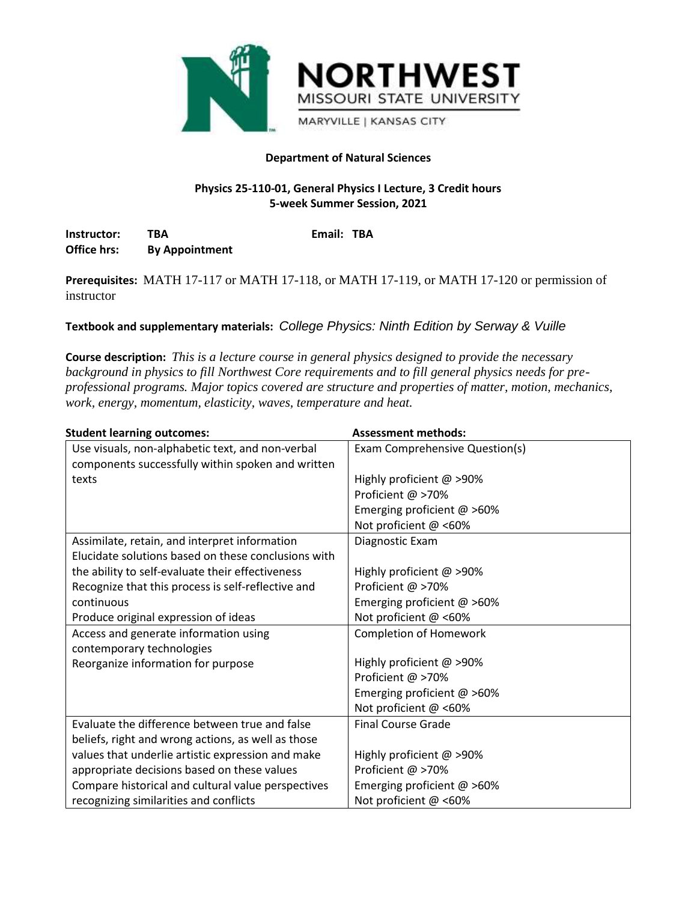

## **Department of Natural Sciences**

# **Physics 25-110-01, General Physics I Lecture, 3 Credit hours 5-week Summer Session, 2021**

**Instructor: TBA Email: TBA Office hrs: By Appointment**

**Prerequisites:** MATH 17-117 or MATH 17-118, or MATH 17-119, or MATH 17-120 or permission of instructor

**Textbook and supplementary materials:** *College Physics: Ninth Edition by Serway & Vuille*

**Course description:** *This is a lecture course in general physics designed to provide the necessary background in physics to fill Northwest Core requirements and to fill general physics needs for preprofessional programs. Major topics covered are structure and properties of matter, motion, mechanics, work, energy, momentum, elasticity, waves, temperature and heat.*

| <b>Student learning outcomes:</b>                   | <b>Assessment methods:</b>     |  |
|-----------------------------------------------------|--------------------------------|--|
| Use visuals, non-alphabetic text, and non-verbal    | Exam Comprehensive Question(s) |  |
| components successfully within spoken and written   |                                |  |
| texts                                               | Highly proficient @ >90%       |  |
|                                                     | Proficient @ >70%              |  |
|                                                     | Emerging proficient $@>60\%$   |  |
|                                                     | Not proficient @ <60%          |  |
| Assimilate, retain, and interpret information       | Diagnostic Exam                |  |
| Elucidate solutions based on these conclusions with |                                |  |
| the ability to self-evaluate their effectiveness    | Highly proficient @ >90%       |  |
| Recognize that this process is self-reflective and  | Proficient @ >70%              |  |
| continuous                                          | Emerging proficient $@>60\%$   |  |
| Produce original expression of ideas                | Not proficient @ <60%          |  |
| Access and generate information using               | <b>Completion of Homework</b>  |  |
| contemporary technologies                           |                                |  |
| Reorganize information for purpose                  | Highly proficient @ >90%       |  |
|                                                     | Proficient @ >70%              |  |
|                                                     | Emerging proficient $@>60\%$   |  |
|                                                     | Not proficient @ <60%          |  |
| Evaluate the difference between true and false      | <b>Final Course Grade</b>      |  |
| beliefs, right and wrong actions, as well as those  |                                |  |
| values that underlie artistic expression and make   | Highly proficient @ >90%       |  |
| appropriate decisions based on these values         | Proficient @ >70%              |  |
| Compare historical and cultural value perspectives  | Emerging proficient @ >60%     |  |
| recognizing similarities and conflicts              | Not proficient @ <60%          |  |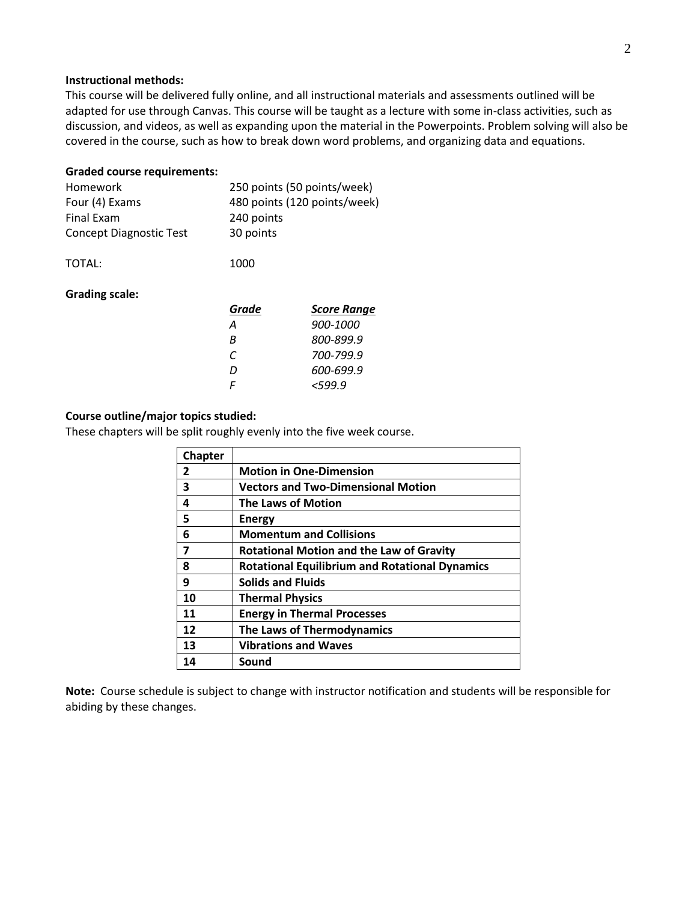### **Instructional methods:**

This course will be delivered fully online, and all instructional materials and assessments outlined will be adapted for use through Canvas. This course will be taught as a lecture with some in-class activities, such as discussion, and videos, as well as expanding upon the material in the Powerpoints. Problem solving will also be covered in the course, such as how to break down word problems, and organizing data and equations.

#### **Graded course requirements:**

| Homework                       | 250 points (50 points/week)  |
|--------------------------------|------------------------------|
| Four (4) Exams                 | 480 points (120 points/week) |
| <b>Final Exam</b>              | 240 points                   |
| <b>Concept Diagnostic Test</b> | 30 points                    |
| TOTAL:                         | 1000                         |
|                                |                              |
| <b>Grading scale:</b>          |                              |

| Grade | <b>Score Range</b> |
|-------|--------------------|
| Α     | 900-1000           |
| R     | 800-899.9          |
| C     | 700-799.9          |
| D     | 600-699.9          |
| F     | $<$ 599.9          |

#### **Course outline/major topics studied:**

These chapters will be split roughly evenly into the five week course.

| <b>Chapter</b> |                                                       |
|----------------|-------------------------------------------------------|
| $\mathbf{z}$   | <b>Motion in One-Dimension</b>                        |
| 3              | <b>Vectors and Two-Dimensional Motion</b>             |
| 4              | <b>The Laws of Motion</b>                             |
| 5              | <b>Energy</b>                                         |
| 6              | <b>Momentum and Collisions</b>                        |
| 7              | <b>Rotational Motion and the Law of Gravity</b>       |
| 8              | <b>Rotational Equilibrium and Rotational Dynamics</b> |
| 9              | <b>Solids and Fluids</b>                              |
| 10             | <b>Thermal Physics</b>                                |
| 11             | <b>Energy in Thermal Processes</b>                    |
| 12             | <b>The Laws of Thermodynamics</b>                     |
| 13             | <b>Vibrations and Waves</b>                           |
| 14             | Sound                                                 |

**Note:** Course schedule is subject to change with instructor notification and students will be responsible for abiding by these changes.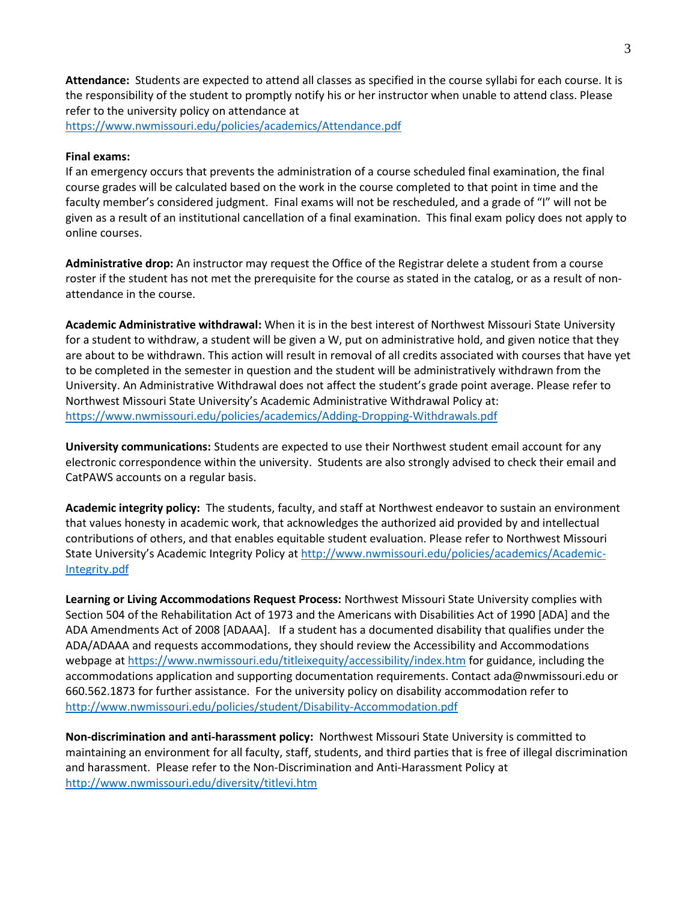**Attendance:** Students are expected to attend all classes as specified in the course syllabi for each course. It is the responsibility of the student to promptly notify his or her instructor when unable to attend class. Please refer to the university policy on attendance at

<https://www.nwmissouri.edu/policies/academics/Attendance.pdf>

### **Final exams:**

If an emergency occurs that prevents the administration of a course scheduled final examination, the final course grades will be calculated based on the work in the course completed to that point in time and the faculty member's considered judgment. Final exams will not be rescheduled, and a grade of "I" will not be given as a result of an institutional cancellation of a final examination. This final exam policy does not apply to online courses.

**Administrative drop:** An instructor may request the Office of the Registrar delete a student from a course roster if the student has not met the prerequisite for the course as stated in the catalog, or as a result of nonattendance in the course.

**Academic Administrative withdrawal:** When it is in the best interest of Northwest Missouri State University for a student to withdraw, a student will be given a W, put on administrative hold, and given notice that they are about to be withdrawn. This action will result in removal of all credits associated with courses that have yet to be completed in the semester in question and the student will be administratively withdrawn from the University. An Administrative Withdrawal does not affect the student's grade point average. Please refer to Northwest Missouri State University's Academic Administrative Withdrawal Policy at: <https://www.nwmissouri.edu/policies/academics/Adding-Dropping-Withdrawals.pdf>

**University communications:** Students are expected to use their Northwest student email account for any electronic correspondence within the university. Students are also strongly advised to check their email and CatPAWS accounts on a regular basis.

**Academic integrity policy:** The students, faculty, and staff at Northwest endeavor to sustain an environment that values honesty in academic work, that acknowledges the authorized aid provided by and intellectual contributions of others, and that enables equitable student evaluation. Please refer to Northwest Missouri State University's Academic Integrity Policy at [http://www.nwmissouri.edu/policies/academics/Academic-](http://www.nwmissouri.edu/policies/academics/Academic-Integrity.pdf)[Integrity.pdf](http://www.nwmissouri.edu/policies/academics/Academic-Integrity.pdf)

**Learning or Living Accommodations Request Process:** Northwest Missouri State University complies with Section 504 of the Rehabilitation Act of 1973 and the Americans with Disabilities Act of 1990 [ADA] and the ADA Amendments Act of 2008 [ADAAA]. If a student has a documented disability that qualifies under the ADA/ADAAA and requests accommodations, they should review the Accessibility and Accommodations webpage at<https://www.nwmissouri.edu/titleixequity/accessibility/index.htm> for guidance, including the accommodations application and supporting documentation requirements. Contact ada@nwmissouri.edu or 660.562.1873 for further assistance. For the university policy on disability accommodation refer to <http://www.nwmissouri.edu/policies/student/Disability-Accommodation.pdf>

**Non-discrimination and anti-harassment policy:** Northwest Missouri State University is committed to maintaining an environment for all faculty, staff, students, and third parties that is free of illegal discrimination and harassment. Please refer to the Non-Discrimination and Anti-Harassment Policy at <http://www.nwmissouri.edu/diversity/titlevi.htm>